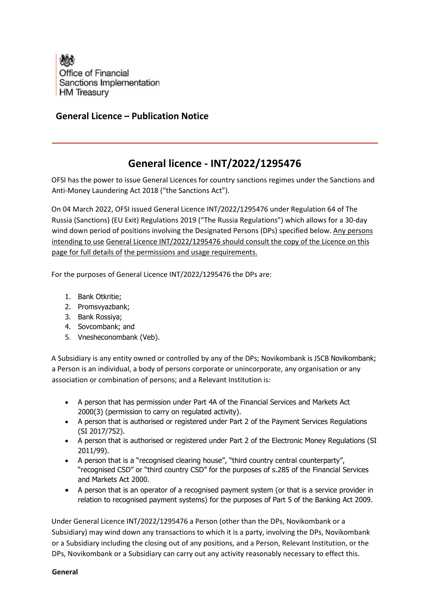

## **General Licence – Publication Notice**

## **General licence - INT/2022/1295476**

OFSI has the power to issue General Licences for country sanctions regimes under the Sanctions and Anti-Money Laundering Act 2018 ("the Sanctions Act").

On 04 March 2022, OFSI issued General Licence INT/2022/1295476 under Regulation 64 of The Russia (Sanctions) (EU Exit) Regulations 2019 ("The Russia Regulations") which allows for a 30-day wind down period of positions involving the Designated Persons (DPs) specified below. Any persons intending to use General Licence INT/2022/1295476 should consult the copy of the Licence on this page for full details of the permissions and usage requirements.

For the purposes of General Licence INT/2022/1295476 the DPs are:

- 1. Bank Otkritie;
- 2. Promsvyazbank;
- 3. Bank Rossiya;
- 4. Sovcombank; and
- 5. Vnesheconombank (Veb).

A Subsidiary is any entity owned or controlled by any of the DPs; Novikombank is JSCB Novikombank; a Person is an individual, a body of persons corporate or unincorporate, any organisation or any association or combination of persons; and a Relevant Institution is:

- A person that has permission under Part 4A of the Financial Services and Markets Act 2000[\(3\)](https://www.legislation.gov.uk/uksi/2019/855/regulation/58/made#f00014) (permission to carry on regulated activity).
- A person that is authorised or registered under Part 2 of the Payment Services Regulations (SI 2017/752).
- A person that is authorised or registered under Part 2 of the Electronic Money Regulations (SI 2011/99).
- A person that is a "recognised clearing house", "third country central counterparty", "recognised CSD" or "third country CSD" for the purposes of s.285 of the Financial Services and Markets Act 2000.
- A person that is an operator of a recognised payment system (or that is a service provider in relation to recognised payment systems) for the purposes of Part 5 of the Banking Act 2009.

Under General Licence INT/2022/1295476 a Person (other than the DPs, Novikombank or a Subsidiary) may wind down any transactions to which it is a party, involving the DPs, Novikombank or a Subsidiary including the closing out of any positions, and a Person, Relevant Institution, or the DPs, Novikombank or a Subsidiary can carry out any activity reasonably necessary to effect this.

**General**